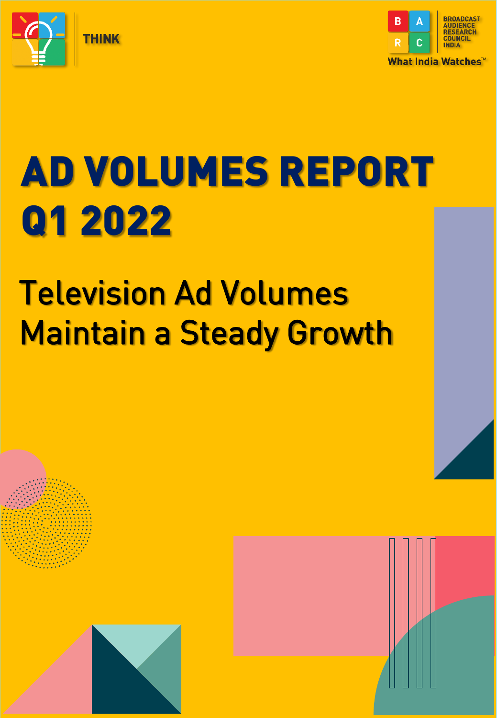



# AD VOLUMES REPORT Q1 2022

## Television Ad Volumes Maintain a Steady Growth



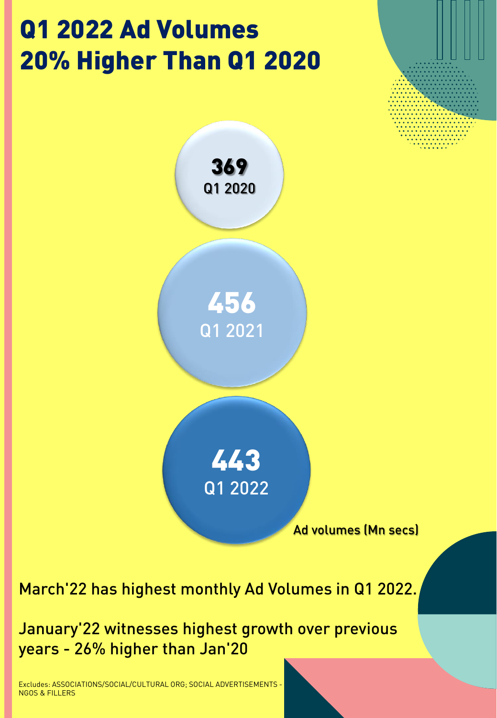### Q1 2022 Ad Volumes 20% Higher Than Q1 2020





March'22 has highest monthly Ad Volumes in Q1 2022.

January'22 witnesses highest growth over previous years - 26% higher than Jan'20

Excludes: ASSOCIATIONS/SOCIAL/CULTURAL ORG; SOCIAL ADVERTISEMENTS - NGOS & FILLERS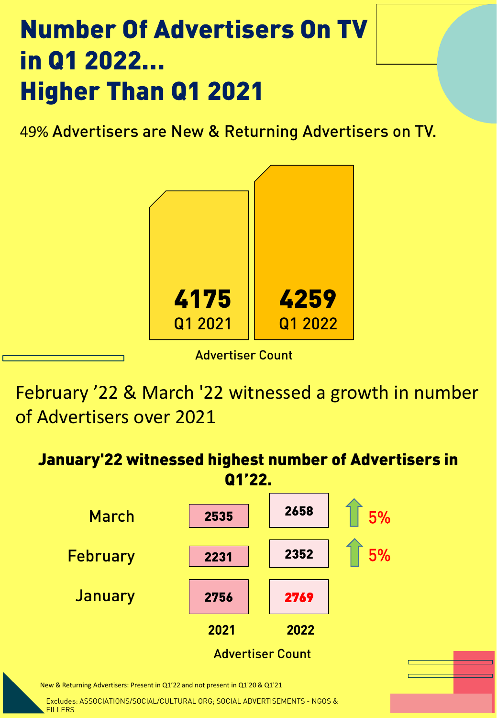#### Number Of Advertisers On TV in Q1 2022… Higher Than Q1 2021

49% Advertisers are New & Returning Advertisers on TV.



Advertiser Count

February '22 & March '22 witnessed a growth in number of Advertisers over 2021



Excludes: ASSOCIATIONS/SOCIAL/CULTURAL ORG; SOCIAL ADVERTISEMENTS - NGOS & **FILLERS**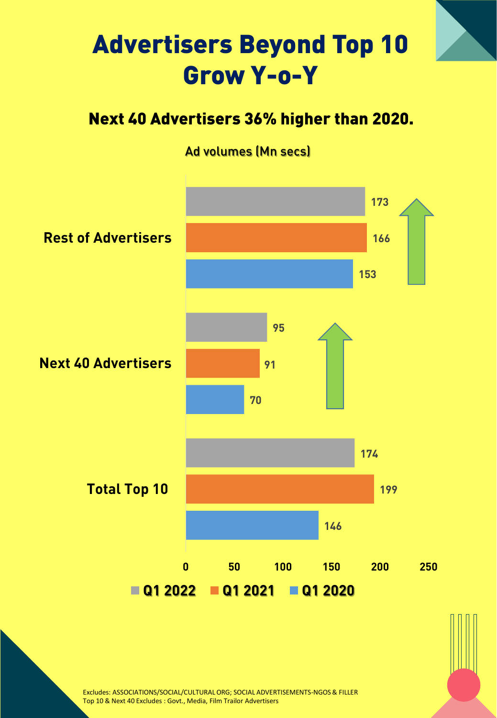#### Advertisers Beyond Top 10 Grow Y-o-Y

#### Next 40 Advertisers 36% higher than 2020.

#### Ad volumes (Mn secs)



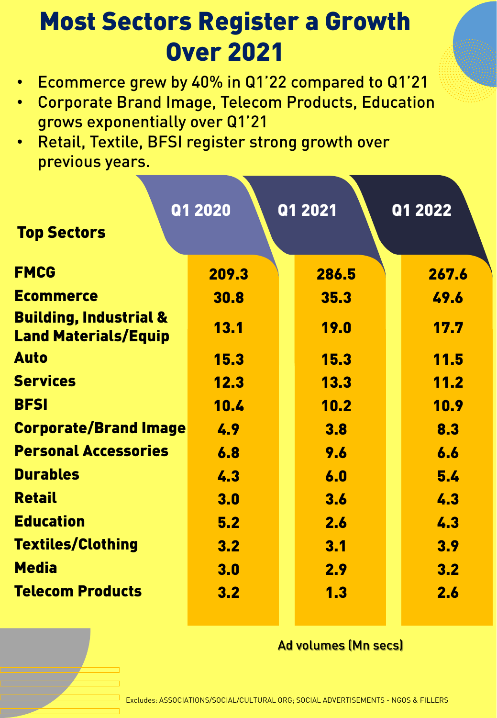#### Most Sectors Register a Growth Over 2021

- Ecommerce grew by 40% in Q1'22 compared to Q1'21
- Corporate Brand Image, Telecom Products, Education grows exponentially over Q1'21
- Retail, Textile, BFSI register strong growth over previous years.

| <b>Top Sectors</b>                                               | Q1 2020 | Q1 2021     | Q1 2022     |
|------------------------------------------------------------------|---------|-------------|-------------|
| <b>FMCG</b>                                                      | 209.3   | 286.5       | 267.6       |
| <b>Ecommerce</b>                                                 | 30.8    | 35.3        | 49.6        |
| <b>Building, Industrial &amp;</b><br><b>Land Materials/Equip</b> | 13.1    | <b>19.0</b> | 17.7        |
| <b>Auto</b>                                                      | 15.3    | 15.3        | <b>11.5</b> |
| <b>Services</b>                                                  | 12.3    | 13.3        | 11.2        |
| <b>BFSI</b>                                                      | 10.4    | 10.2        | 10.9        |
| <b>Corporate/Brand Image</b>                                     | 4.9     | 3.8         | 8.3         |
| <b>Personal Accessories</b>                                      | 6.8     | 9.6         | 6.6         |
| <b>Durables</b>                                                  | 4.3     | 6.0         | 5.4         |
| <b>Retail</b>                                                    | 3.0     | 3.6         | 4.3         |
| <b>Education</b>                                                 | 5.2     | 2.6         | 4.3         |
| <b>Textiles/Clothing</b>                                         | 3.2     | 3.1         | 3.9         |
| <b>Media</b>                                                     | 3.0     | 2.9         | 3.2         |
| <b>Telecom Products</b>                                          | 3.2     | 1.3         | 2.6         |

#### Ad volumes (Mn secs)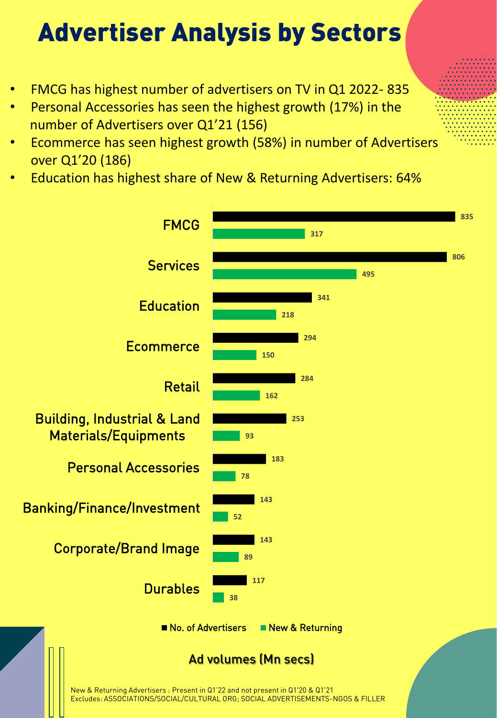### Advertiser Analysis by Sectors

- FMCG has highest number of advertisers on TV in Q1 2022- 835
- Personal Accessories has seen the highest growth (17%) in the number of Advertisers over Q1'21 (156)
- Ecommerce has seen highest growth (58%) in number of Advertisers over Q1'20 (186)
- Education has highest share of New & Returning Advertisers: 64%

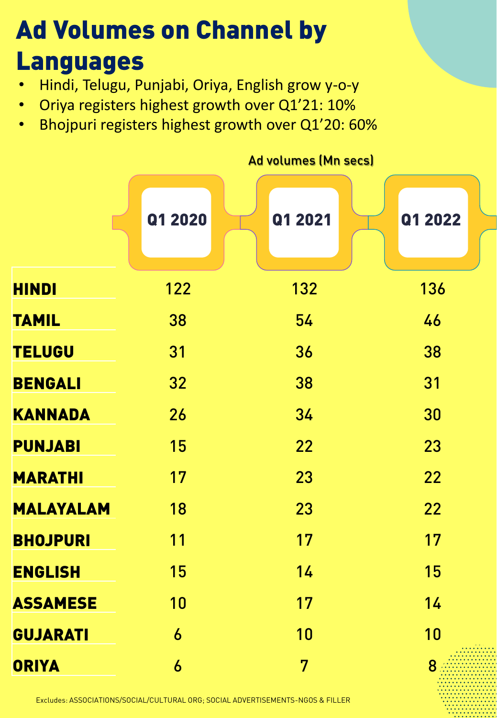#### Ad Volumes on Channel by Languages

- Hindi, Telugu, Punjabi, Oriya, English grow y-o-y
- Oriya registers highest growth over Q1'21: 10%
- Bhojpuri registers highest growth over Q1'20: 60%

|                  | <b>Ad volumes (Mn secs)</b> |         |         |  |  |  |
|------------------|-----------------------------|---------|---------|--|--|--|
|                  | Q1 2020                     | Q1 2021 | Q1 2022 |  |  |  |
| <b>HINDI</b>     | 122                         | 132     | 136     |  |  |  |
| <b>TAMIL</b>     | 38                          | 54      | 46      |  |  |  |
| <b>TELUGU</b>    | 31                          | 36      | 38      |  |  |  |
| <b>BENGALI</b>   | 32                          | 38      | 31      |  |  |  |
| <b>KANNADA</b>   | 26                          | 34      | 30      |  |  |  |
| <b>PUNJABI</b>   | 15                          | 22      | 23      |  |  |  |
| <b>MARATHI</b>   | 17                          | 23      | 22      |  |  |  |
| <b>MALAYALAM</b> | 18                          | 23      | 22      |  |  |  |
| <b>BHOJPURI</b>  | 11                          | 17      | 17      |  |  |  |
| <b>ENGLISH</b>   | 15                          | 14      | 15      |  |  |  |
| <b>ASSAMESE</b>  | 10                          | 17      | 14      |  |  |  |
| <b>GUJARATI</b>  | 6                           | 10      | 10      |  |  |  |
| <b>ORIYA</b>     | 6                           | 7       |         |  |  |  |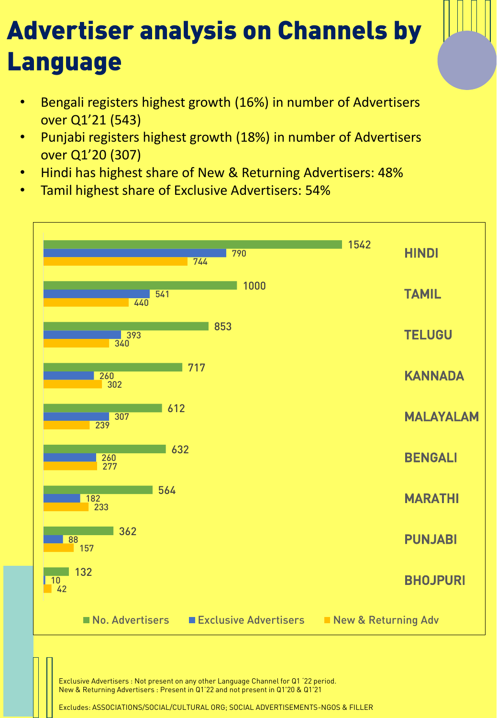### Advertiser analysis on Channels by Language

- Bengali registers highest growth (16%) in number of Advertisers over Q1'21 (543)
- Punjabi registers highest growth (18%) in number of Advertisers over Q1'20 (307)
- Hindi has highest share of New & Returning Advertisers: 48%
- Tamil highest share of Exclusive Advertisers: 54%



Exclusive Advertisers : Not present on any other Language Channel for Q1 '22 period. New & Returning Advertisers : Present in Q1'22 and not present in Q1'20 & Q1'21

Excludes: ASSOCIATIONS/SOCIAL/CULTURAL ORG; SOCIAL ADVERTISEMENTS-NGOS & FILLER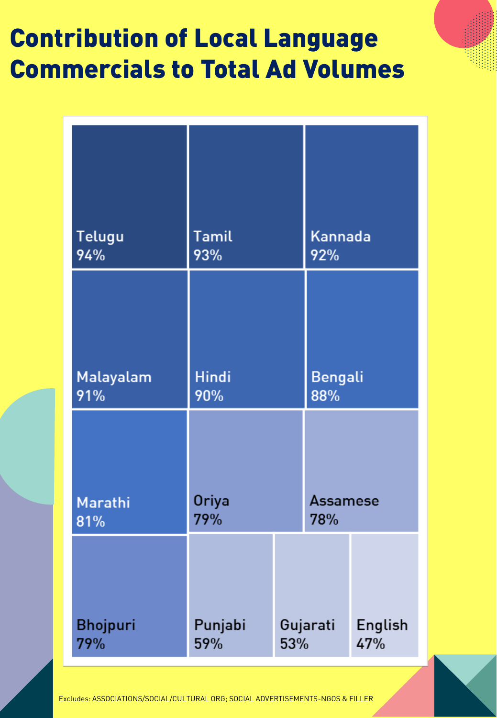### Contribution of Local Language Commercials to Total Ad Volumes

| Telugu<br>94%   | Tamil<br>93% |          | Kannada<br>92% |         |
|-----------------|--------------|----------|----------------|---------|
| Malayalam       | <b>Hindi</b> |          | <b>Bengali</b> |         |
| 91%             | 90%          |          | 88%            |         |
| Marathi         | <b>Oriya</b> |          | Assamese       |         |
| 81%             | 79%          |          | 78%            |         |
| <b>Bhojpuri</b> | Punjabi      | Gujarati |                | English |
| 79%             | 59%          | 53%      |                | 47%     |

Excludes: ASSOCIATIONS/SOCIAL/CULTURAL ORG; SOCIAL ADVERTISEMENTS-NGOS & FILLER